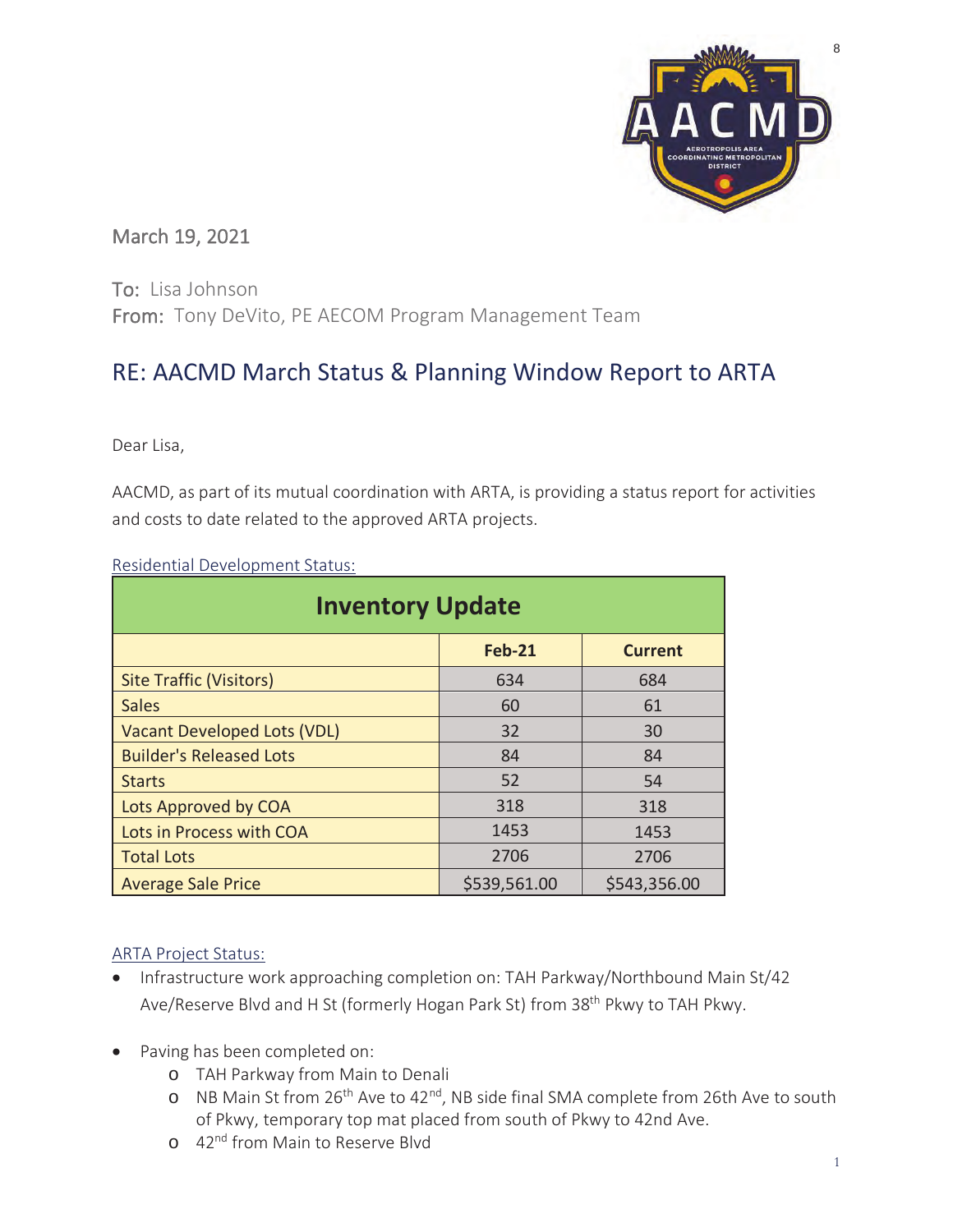

## March 19, 2021

To: Lisa Johnson From: Tony DeVito, PE AECOM Program Management Team

# RE: AACMD March Status & Planning Window Report to ARTA

Dear Lisa,

AACMD, as part of its mutual coordination with ARTA, is providing a status report for activities and costs to date related to the approved ARTA projects.

| <b>Inventory Update</b>            |               |                |  |  |  |  |  |  |  |  |
|------------------------------------|---------------|----------------|--|--|--|--|--|--|--|--|
|                                    | <b>Feb-21</b> | <b>Current</b> |  |  |  |  |  |  |  |  |
| <b>Site Traffic (Visitors)</b>     | 634           | 684            |  |  |  |  |  |  |  |  |
| <b>Sales</b>                       | 60            | 61             |  |  |  |  |  |  |  |  |
| <b>Vacant Developed Lots (VDL)</b> | 32            | 30             |  |  |  |  |  |  |  |  |
| <b>Builder's Released Lots</b>     | 84            | 84             |  |  |  |  |  |  |  |  |
| <b>Starts</b>                      | 52            | 54             |  |  |  |  |  |  |  |  |
| Lots Approved by COA               | 318           | 318            |  |  |  |  |  |  |  |  |
| Lots in Process with COA           | 1453          | 1453           |  |  |  |  |  |  |  |  |
| <b>Total Lots</b>                  | 2706          | 2706           |  |  |  |  |  |  |  |  |
| <b>Average Sale Price</b>          | \$539,561.00  | \$543,356.00   |  |  |  |  |  |  |  |  |

Residential Development Status:

#### ARTA Project Status:

- Infrastructure work approaching completion on: TAH Parkway/Northbound Main St/42 Ave/Reserve Blyd and H St (formerly Hogan Park St) from 38<sup>th</sup> Pkwy to TAH Pkwy.
- Paving has been completed on:
	- o TAH Parkway from Main to Denali
	- o NB Main St from 26<sup>th</sup> Ave to 42<sup>nd</sup>, NB side final SMA complete from 26th Ave to south of Pkwy, temporary top mat placed from south of Pkwy to 42nd Ave.
	- o 42<sup>nd</sup> from Main to Reserve Blvd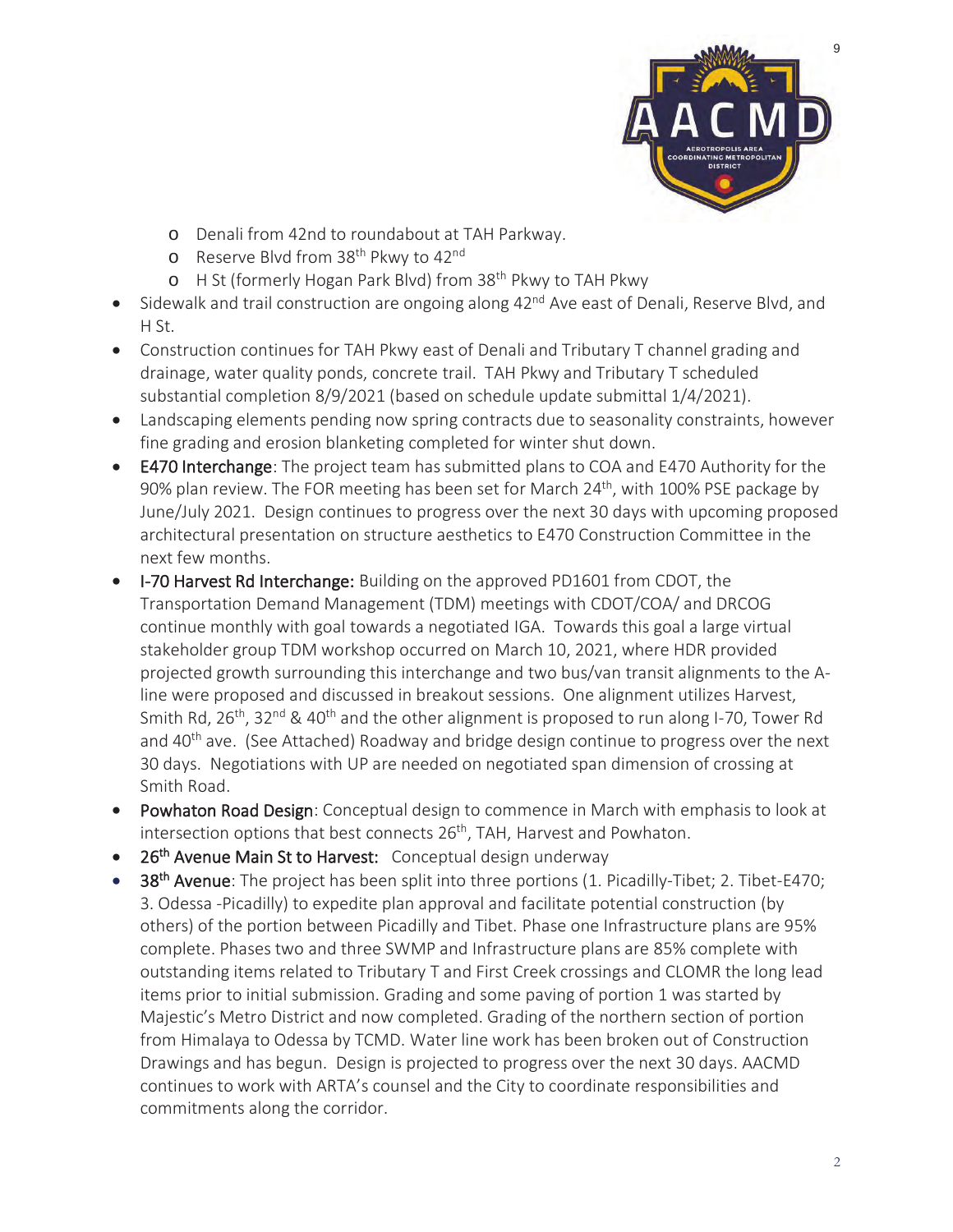

- o Denali from 42nd to roundabout at TAH Parkway.
- o Reserve Blvd from 38<sup>th</sup> Pkwy to 42<sup>nd</sup>
- o H St (formerly Hogan Park Blvd) from 38<sup>th</sup> Pkwy to TAH Pkwy
- Sidewalk and trail construction are ongoing along 42<sup>nd</sup> Ave east of Denali, Reserve Blvd, and H St.
- Construction continues for TAH Pkwy east of Denali and Tributary T channel grading and drainage, water quality ponds, concrete trail. TAH Pkwy and Tributary T scheduled substantial completion 8/9/2021 (based on schedule update submittal 1/4/2021).
- Landscaping elements pending now spring contracts due to seasonality constraints, however fine grading and erosion blanketing completed for winter shut down.
- E470 Interchange: The project team has submitted plans to COA and E470 Authority for the 90% plan review. The FOR meeting has been set for March 24<sup>th</sup>, with 100% PSE package by June/July 2021. Design continues to progress over the next 30 days with upcoming proposed architectural presentation on structure aesthetics to E470 Construction Committee in the next few months.
- I-70 Harvest Rd Interchange: Building on the approved PD1601 from CDOT, the Transportation Demand Management (TDM) meetings with CDOT/COA/ and DRCOG continue monthly with goal towards a negotiated IGA. Towards this goal a large virtual stakeholder group TDM workshop occurred on March 10, 2021, where HDR provided projected growth surrounding this interchange and two bus/van transit alignments to the Aline were proposed and discussed in breakout sessions. One alignment utilizes Harvest, Smith Rd, 26<sup>th</sup>, 32<sup>nd</sup> & 40<sup>th</sup> and the other alignment is proposed to run along I-70, Tower Rd and 40<sup>th</sup> ave. (See Attached) Roadway and bridge design continue to progress over the next 30 days. Negotiations with UP are needed on negotiated span dimension of crossing at Smith Road.
- Powhaton Road Design: Conceptual design to commence in March with emphasis to look at intersection options that best connects 26<sup>th</sup>, TAH, Harvest and Powhaton.
- 26<sup>th</sup> Avenue Main St to Harvest: Conceptual design underway
- 38<sup>th</sup> Avenue: The project has been split into three portions (1. Picadilly-Tibet; 2. Tibet-E470; 3. Odessa -Picadilly) to expedite plan approval and facilitate potential construction (by others) of the portion between Picadilly and Tibet. Phase one Infrastructure plans are 95% complete. Phases two and three SWMP and Infrastructure plans are 85% complete with outstanding items related to Tributary T and First Creek crossings and CLOMR the long lead items prior to initial submission. Grading and some paving of portion 1 was started by Majestic's Metro District and now completed. Grading of the northern section of portion from Himalaya to Odessa by TCMD. Water line work has been broken out of Construction Drawings and has begun. Design is projected to progress over the next 30 days. AACMD continues to work with ARTA's counsel and the City to coordinate responsibilities and commitments along the corridor.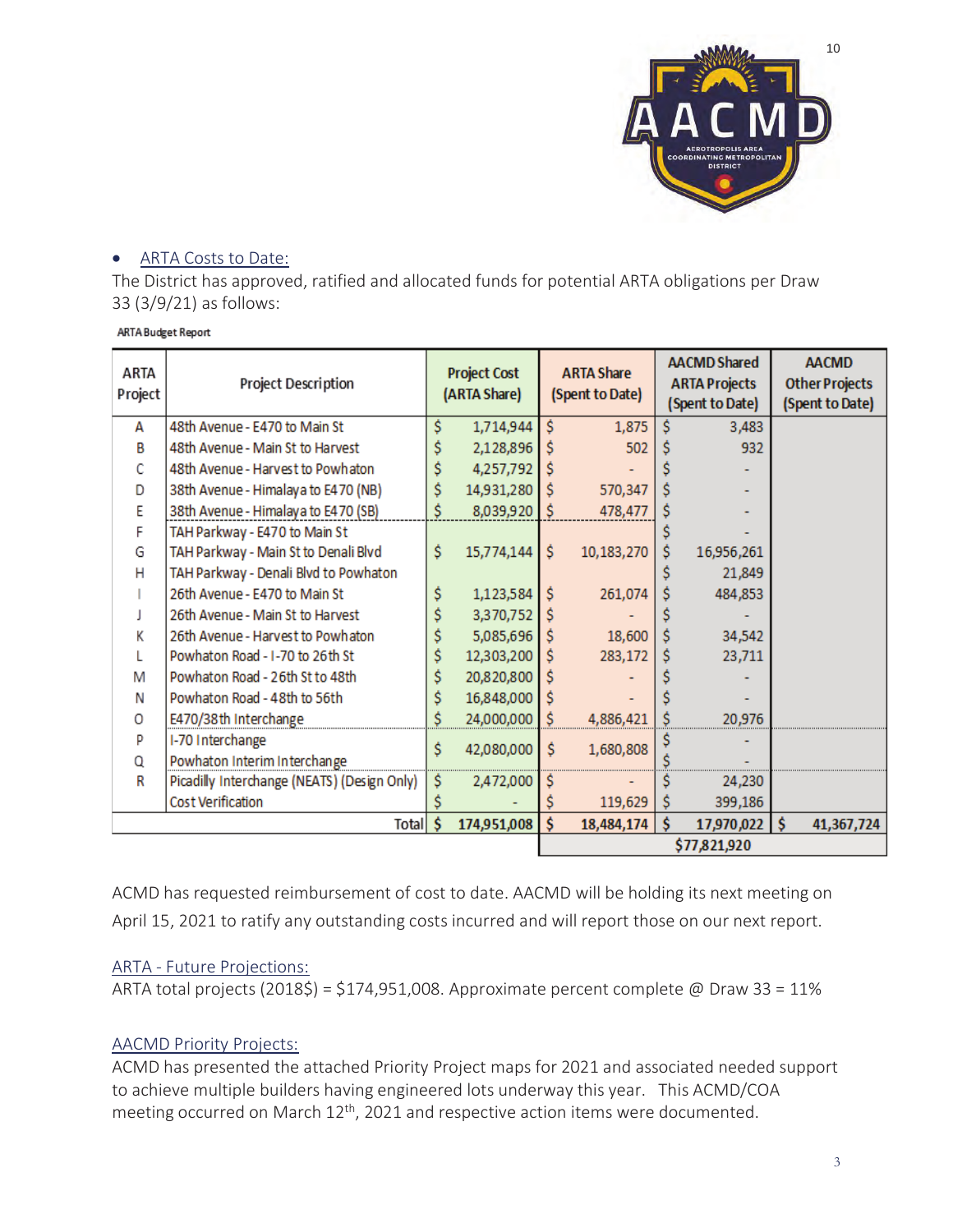

#### • ARTA Costs to Date:

The District has approved, ratified and allocated funds for potential ARTA obligations per Draw 33 (3/9/21) as follows:

| ARTA<br>Project | Project Description                         | <b>Project Cost</b><br>(ARTA Share) |             | <b>ARTA Share</b><br>(Spent to Date) |            | <b>AACMD Shared</b><br><b>ARTA Projects</b><br>(Spent to Date) |            | <b>AACMD</b><br><b>Other Projects</b><br>(Spent to Date) |            |
|-----------------|---------------------------------------------|-------------------------------------|-------------|--------------------------------------|------------|----------------------------------------------------------------|------------|----------------------------------------------------------|------------|
| А               | 48th Avenue - E470 to Main St               | Ś                                   | 1,714,944   | Ś                                    | 1,875      | Ŝ                                                              | 3,483      |                                                          |            |
| в               | 48th Avenue - Main St to Harvest            |                                     | 2,128,896   | Ś                                    | 502        |                                                                | 932        |                                                          |            |
| C               | 48th Avenue - Harvest to Powhaton           |                                     | 4,257,792   | Ś                                    |            |                                                                |            |                                                          |            |
| D               | 38th Avenue - Himalaya to E470 (NB)         | Ś                                   | 14,931,280  | Ś                                    | 570,347    |                                                                |            |                                                          |            |
| E               | 38th Avenue - Himalaya to E470 (SB)         | Ś                                   | 8,039,920   | Ś.                                   | 478,477    |                                                                |            |                                                          |            |
| F               | TAH Parkway - E470 to Main St               |                                     |             |                                      |            |                                                                |            |                                                          |            |
| G               | TAH Parkway - Main St to Denali Blvd        | Ś                                   | 15,774,144  | Ś.                                   | 10,183,270 | Ŝ                                                              | 16,956,261 |                                                          |            |
| н               | TAH Parkway - Denali Blvd to Powhaton       |                                     |             |                                      |            |                                                                | 21,849     |                                                          |            |
|                 | 26th Avenue - E470 to Main St               | \$                                  | 1,123,584   | \$                                   | 261,074    |                                                                | 484,853    |                                                          |            |
|                 | 26th Avenue - Main St to Harvest            |                                     | 3,370,752   |                                      |            |                                                                |            |                                                          |            |
| K               | 26th Avenue - Harvest to Powhaton           |                                     | 5,085,696   | s                                    | 18,600     |                                                                | 34,542     |                                                          |            |
|                 | Powhaton Road - I-70 to 26th St             | Ś                                   | 12,303,200  | Ŝ                                    | 283,172    |                                                                | 23,711     |                                                          |            |
| M               | Powhaton Road - 26th St to 48th             | Ś                                   | 20,820,800  | s                                    |            |                                                                |            |                                                          |            |
| Ν               | Powhaton Road - 48th to 56th                | Ś                                   | 16,848,000  | Ś                                    |            |                                                                |            |                                                          |            |
| 0               | E470/38th Interchange                       | S                                   | 24,000,000  | \$                                   | 4,886,421  |                                                                | 20,976     |                                                          |            |
| p               | I-70 Interchange                            | Ś                                   |             | Ś                                    | 1,680,808  |                                                                |            |                                                          |            |
| Q               | Powhaton Interim Interchange                | 42,080,000                          |             |                                      |            |                                                                |            |                                                          |            |
| R               | Picadilly Interchange (NEATS) (Design Only) | Ŝ                                   | 2,472,000   | Ş                                    |            |                                                                | 24,230     |                                                          |            |
|                 | Cost Verification                           |                                     |             |                                      | 119,629    | S                                                              | 399,186    |                                                          |            |
|                 | Total \$                                    |                                     | 174,951,008 | Ś                                    | 18,484,174 | Ś                                                              | 17,970,022 |                                                          | 41,367,724 |
|                 |                                             |                                     |             | \$77,821,920                         |            |                                                                |            |                                                          |            |

ACMD has requested reimbursement of cost to date. AACMD will be holding its next meeting on April 15, 2021 to ratify any outstanding costs incurred and will report those on our next report.

#### ARTA - Future Projections:

ARTA total projects (2018\$) = \$174,951,008. Approximate percent complete @ Draw 33 = 11%

#### AACMD Priority Projects:

ACMD has presented the attached Priority Project maps for 2021 and associated needed support to achieve multiple builders having engineered lots underway this year. This ACMD/COA meeting occurred on March 12<sup>th</sup>, 2021 and respective action items were documented.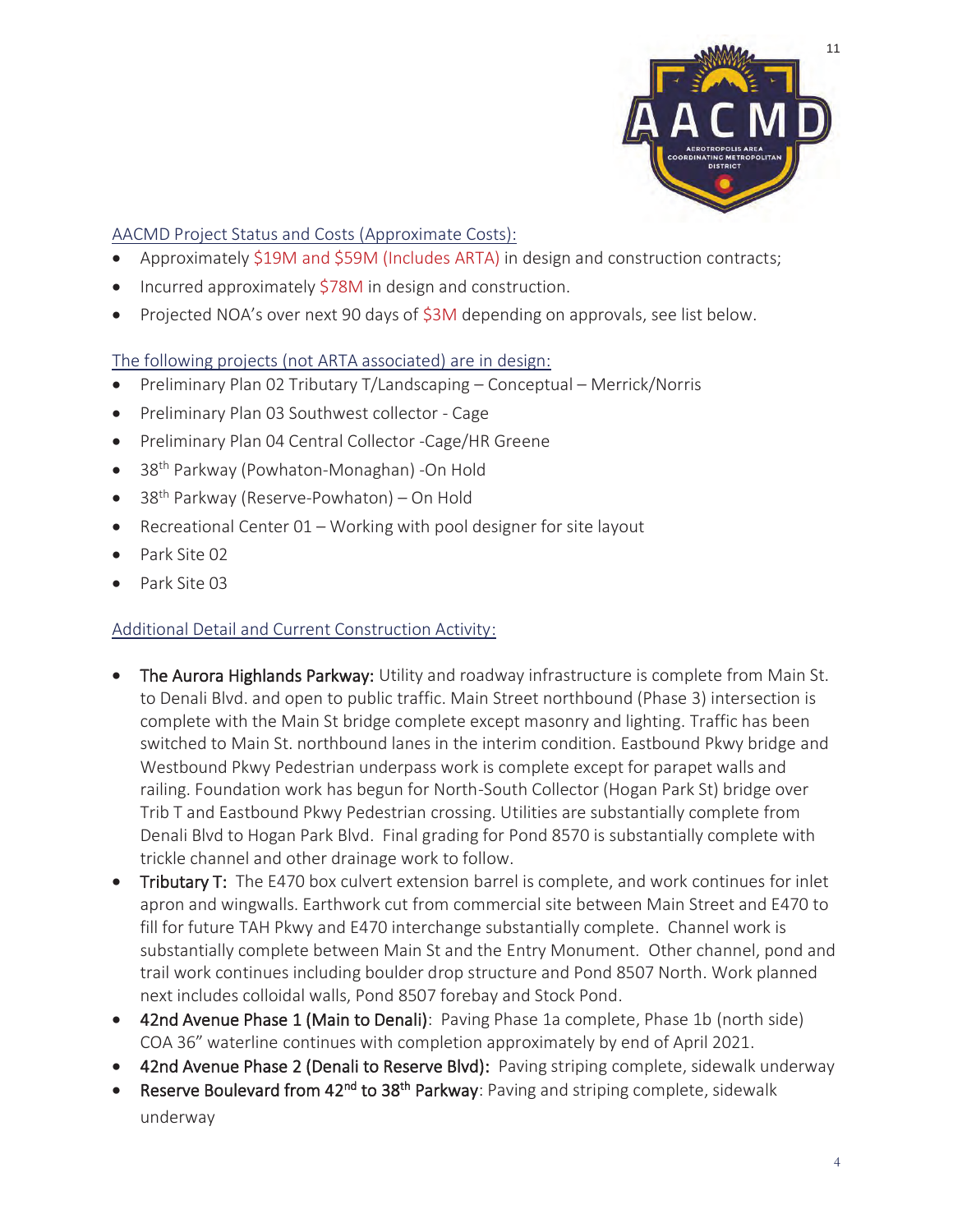

AACMD Project Status and Costs (Approximate Costs):

- Approximately \$19M and \$59M (Includes ARTA) in design and construction contracts;
- Incurred approximately \$78M in design and construction.
- Projected NOA's over next 90 days of \$3M depending on approvals, see list below.

The following projects (not ARTA associated) are in design:

- Preliminary Plan 02 Tributary T/Landscaping Conceptual Merrick/Norris
- Preliminary Plan 03 Southwest collector Cage
- Preliminary Plan 04 Central Collector -Cage/HR Greene
- 38<sup>th</sup> Parkway (Powhaton-Monaghan) -On Hold
- $\bullet$  38<sup>th</sup> Parkway (Reserve-Powhaton) On Hold
- **•** Recreational Center  $01 -$  Working with pool designer for site layout
- Park Site 02
- Park Site 03

### Additional Detail and Current Construction Activity:

- The Aurora Highlands Parkway: Utility and roadway infrastructure is complete from Main St. to Denali Blvd. and open to public traffic. Main Street northbound (Phase 3) intersection is complete with the Main St bridge complete except masonry and lighting. Traffic has been switched to Main St. northbound lanes in the interim condition. Eastbound Pkwy bridge and Westbound Pkwy Pedestrian underpass work is complete except for parapet walls and railing. Foundation work has begun for North-South Collector (Hogan Park St) bridge over Trib T and Eastbound Pkwy Pedestrian crossing. Utilities are substantially complete from Denali Blvd to Hogan Park Blvd. Final grading for Pond 8570 is substantially complete with trickle channel and other drainage work to follow.
- Tributary T: The E470 box culvert extension barrel is complete, and work continues for inlet apron and wingwalls. Earthwork cut from commercial site between Main Street and E470 to fill for future TAH Pkwy and E470 interchange substantially complete. Channel work is substantially complete between Main St and the Entry Monument. Other channel, pond and trail work continues including boulder drop structure and Pond 8507 North. Work planned next includes colloidal walls, Pond 8507 forebay and Stock Pond.
- 42nd Avenue Phase 1 (Main to Denali): Paving Phase 1a complete, Phase 1b (north side) COA 36" waterline continues with completion approximately by end of April 2021.
- 42nd Avenue Phase 2 (Denali to Reserve Blvd): Paving striping complete, sidewalk underway
- Reserve Boulevard from 42<sup>nd</sup> to 38<sup>th</sup> Parkway: Paving and striping complete, sidewalk underway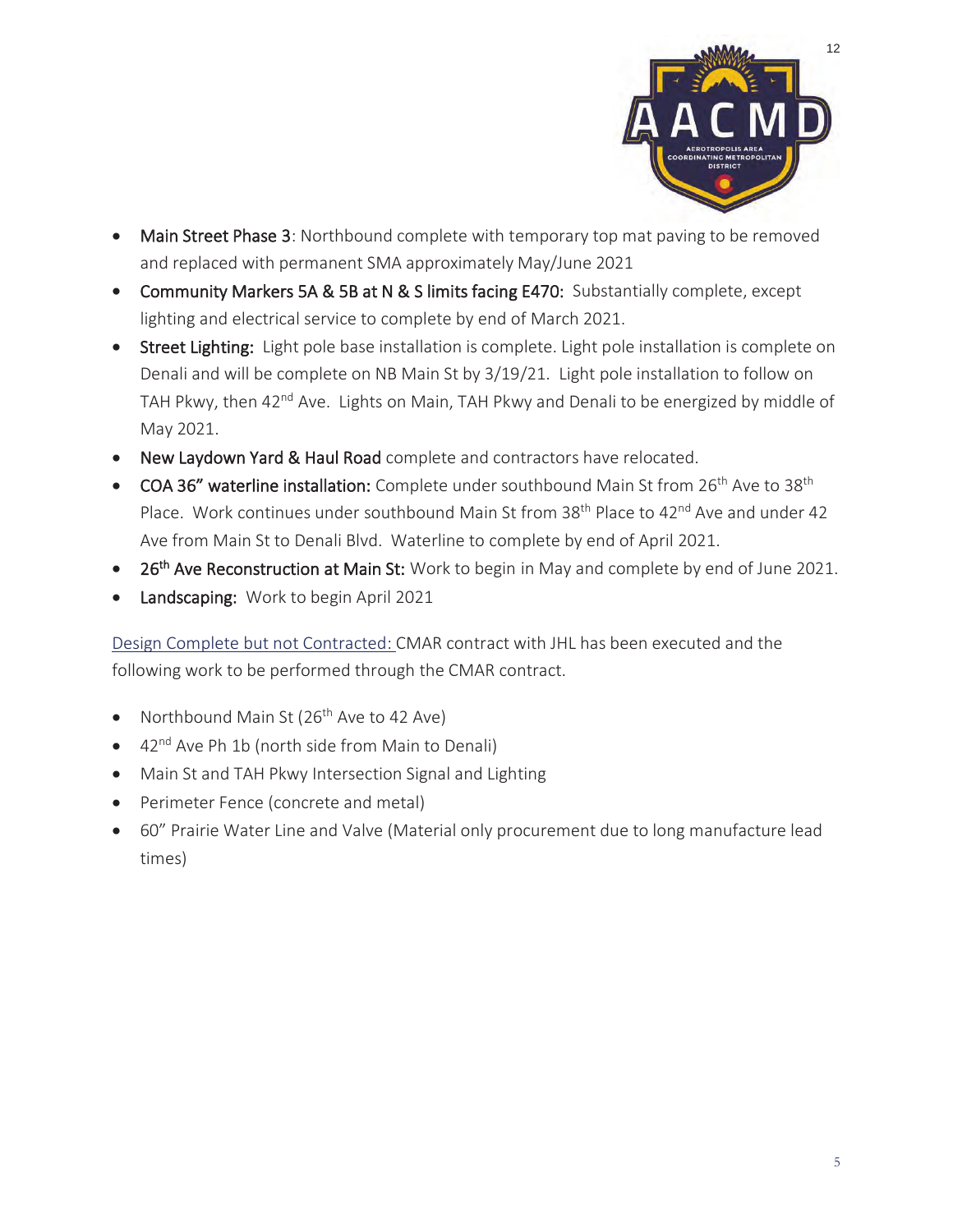

- Main Street Phase 3: Northbound complete with temporary top mat paving to be removed and replaced with permanent SMA approximately May/June 2021
- Community Markers 5A & 5B at N & S limits facing E470: Substantially complete, except lighting and electrical service to complete by end of March 2021.
- Street Lighting: Light pole base installation is complete. Light pole installation is complete on Denali and will be complete on NB Main St by 3/19/21. Light pole installation to follow on TAH Pkwy, then 42<sup>nd</sup> Ave. Lights on Main, TAH Pkwy and Denali to be energized by middle of May 2021.
- New Laydown Yard & Haul Road complete and contractors have relocated.
- COA 36" waterline installation: Complete under southbound Main St from 26<sup>th</sup> Ave to 38<sup>th</sup> Place. Work continues under southbound Main St from 38<sup>th</sup> Place to 42<sup>nd</sup> Ave and under 42 Ave from Main St to Denali Blvd. Waterline to complete by end of April 2021.
- 26<sup>th</sup> Ave Reconstruction at Main St: Work to begin in May and complete by end of June 2021.
- Landscaping: Work to begin April 2021

Design Complete but not Contracted: CMAR contract with JHL has been executed and the following work to be performed through the CMAR contract.

- Northbound Main St ( $26<sup>th</sup>$  Ave to 42 Ave)
- $\bullet$  42<sup>nd</sup> Ave Ph 1b (north side from Main to Denali)
- Main St and TAH Pkwy Intersection Signal and Lighting
- Perimeter Fence (concrete and metal)
- 60" Prairie Water Line and Valve (Material only procurement due to long manufacture lead times)